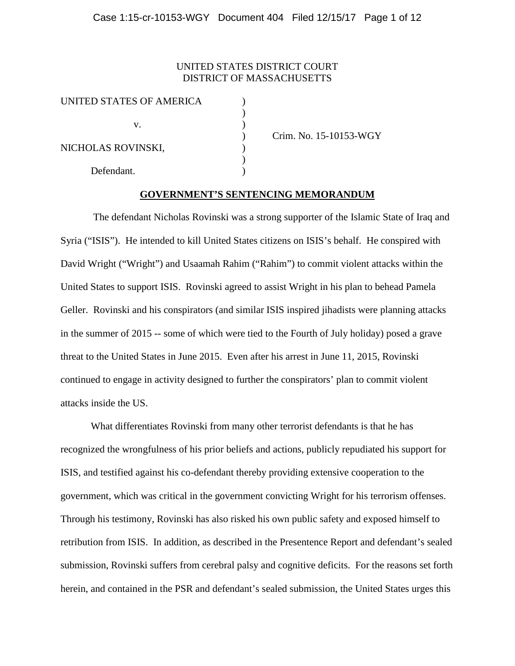## UNITED STATES DISTRICT COURT DISTRICT OF MASSACHUSETTS

| UNITED STATES OF AMERICA |  |
|--------------------------|--|
|                          |  |
| V.                       |  |
| NICHOLAS ROVINSKI,       |  |
|                          |  |
|                          |  |
| Defendant.               |  |

) Crim. No. 15-10153-WGY

## **GOVERNMENT'S SENTENCING MEMORANDUM**

 $)$ 

The defendant Nicholas Rovinski was a strong supporter of the Islamic State of Iraq and Syria ("ISIS"). He intended to kill United States citizens on ISIS's behalf. He conspired with David Wright ("Wright") and Usaamah Rahim ("Rahim") to commit violent attacks within the United States to support ISIS. Rovinski agreed to assist Wright in his plan to behead Pamela Geller. Rovinski and his conspirators (and similar ISIS inspired jihadists were planning attacks in the summer of 2015 -- some of which were tied to the Fourth of July holiday) posed a grave threat to the United States in June 2015. Even after his arrest in June 11, 2015, Rovinski continued to engage in activity designed to further the conspirators' plan to commit violent attacks inside the US.

What differentiates Rovinski from many other terrorist defendants is that he has recognized the wrongfulness of his prior beliefs and actions, publicly repudiated his support for ISIS, and testified against his co-defendant thereby providing extensive cooperation to the government, which was critical in the government convicting Wright for his terrorism offenses. Through his testimony, Rovinski has also risked his own public safety and exposed himself to retribution from ISIS. In addition, as described in the Presentence Report and defendant's sealed submission, Rovinski suffers from cerebral palsy and cognitive deficits. For the reasons set forth herein, and contained in the PSR and defendant's sealed submission, the United States urges this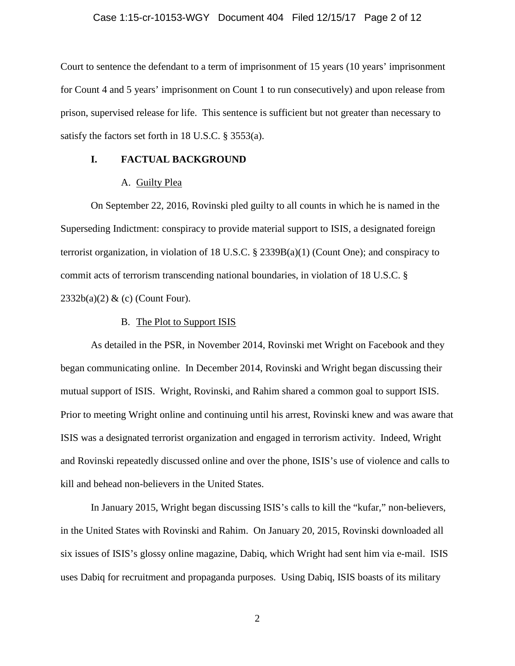### Case 1:15-cr-10153-WGY Document 404 Filed 12/15/17 Page 2 of 12

Court to sentence the defendant to a term of imprisonment of 15 years (10 years' imprisonment for Count 4 and 5 years' imprisonment on Count 1 to run consecutively) and upon release from prison, supervised release for life. This sentence is sufficient but not greater than necessary to satisfy the factors set forth in 18 U.S.C. § 3553(a).

## **I. FACTUAL BACKGROUND**

### A. Guilty Plea

On September 22, 2016, Rovinski pled guilty to all counts in which he is named in the Superseding Indictment: conspiracy to provide material support to ISIS, a designated foreign terrorist organization, in violation of 18 U.S.C. § 2339B(a)(1) (Count One); and conspiracy to commit acts of terrorism transcending national boundaries, in violation of 18 U.S.C. §  $2332b(a)(2)$  & (c) (Count Four).

#### B. The Plot to Support ISIS

As detailed in the PSR, in November 2014, Rovinski met Wright on Facebook and they began communicating online. In December 2014, Rovinski and Wright began discussing their mutual support of ISIS. Wright, Rovinski, and Rahim shared a common goal to support ISIS. Prior to meeting Wright online and continuing until his arrest, Rovinski knew and was aware that ISIS was a designated terrorist organization and engaged in terrorism activity. Indeed, Wright and Rovinski repeatedly discussed online and over the phone, ISIS's use of violence and calls to kill and behead non-believers in the United States.

In January 2015, Wright began discussing ISIS's calls to kill the "kufar," non-believers, in the United States with Rovinski and Rahim. On January 20, 2015, Rovinski downloaded all six issues of ISIS's glossy online magazine, Dabiq, which Wright had sent him via e-mail. ISIS uses Dabiq for recruitment and propaganda purposes. Using Dabiq, ISIS boasts of its military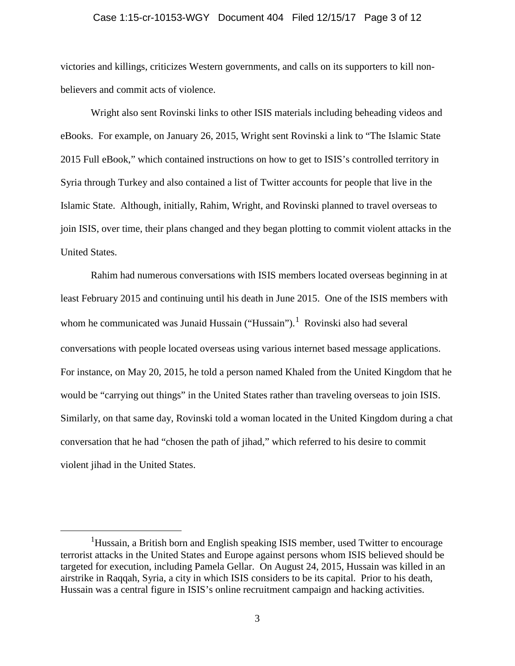### Case 1:15-cr-10153-WGY Document 404 Filed 12/15/17 Page 3 of 12

victories and killings, criticizes Western governments, and calls on its supporters to kill nonbelievers and commit acts of violence.

Wright also sent Rovinski links to other ISIS materials including beheading videos and eBooks. For example, on January 26, 2015, Wright sent Rovinski a link to "The Islamic State 2015 Full eBook," which contained instructions on how to get to ISIS's controlled territory in Syria through Turkey and also contained a list of Twitter accounts for people that live in the Islamic State. Although, initially, Rahim, Wright, and Rovinski planned to travel overseas to join ISIS, over time, their plans changed and they began plotting to commit violent attacks in the United States.

Rahim had numerous conversations with ISIS members located overseas beginning in at least February 2015 and continuing until his death in June 2015. One of the ISIS members with whom he communicated was Junaid Hussain ("Hussain").<sup>[1](#page-2-0)</sup> Rovinski also had several conversations with people located overseas using various internet based message applications. For instance, on May 20, 2015, he told a person named Khaled from the United Kingdom that he would be "carrying out things" in the United States rather than traveling overseas to join ISIS. Similarly, on that same day, Rovinski told a woman located in the United Kingdom during a chat conversation that he had "chosen the path of jihad," which referred to his desire to commit violent jihad in the United States.

<span id="page-2-0"></span> $\overline{\phantom{a}}$ <sup>1</sup>Hussain, a British born and English speaking ISIS member, used Twitter to encourage terrorist attacks in the United States and Europe against persons whom ISIS believed should be targeted for execution, including Pamela Gellar. On August 24, 2015, Hussain was killed in an airstrike in Raqqah, Syria, a city in which ISIS considers to be its capital. Prior to his death, Hussain was a central figure in ISIS's online recruitment campaign and hacking activities.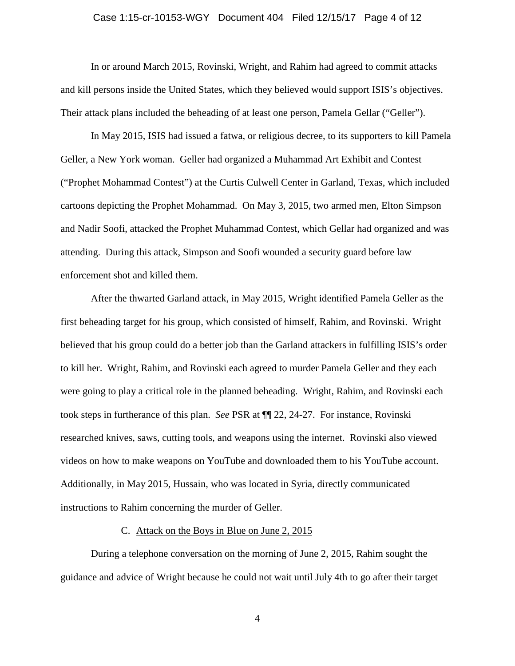### Case 1:15-cr-10153-WGY Document 404 Filed 12/15/17 Page 4 of 12

In or around March 2015, Rovinski, Wright, and Rahim had agreed to commit attacks and kill persons inside the United States, which they believed would support ISIS's objectives. Their attack plans included the beheading of at least one person, Pamela Gellar ("Geller").

In May 2015, ISIS had issued a fatwa, or religious decree, to its supporters to kill Pamela Geller, a New York woman. Geller had organized a Muhammad Art Exhibit and Contest ("Prophet Mohammad Contest") at the Curtis Culwell Center in Garland, Texas, which included cartoons depicting the Prophet Mohammad. On May 3, 2015, two armed men, Elton Simpson and Nadir Soofi, attacked the Prophet Muhammad Contest, which Gellar had organized and was attending. During this attack, Simpson and Soofi wounded a security guard before law enforcement shot and killed them.

After the thwarted Garland attack, in May 2015, Wright identified Pamela Geller as the first beheading target for his group, which consisted of himself, Rahim, and Rovinski. Wright believed that his group could do a better job than the Garland attackers in fulfilling ISIS's order to kill her. Wright, Rahim, and Rovinski each agreed to murder Pamela Geller and they each were going to play a critical role in the planned beheading. Wright, Rahim, and Rovinski each took steps in furtherance of this plan. *See* PSR at ¶¶ 22, 24-27. For instance, Rovinski researched knives, saws, cutting tools, and weapons using the internet. Rovinski also viewed videos on how to make weapons on YouTube and downloaded them to his YouTube account. Additionally, in May 2015, Hussain, who was located in Syria, directly communicated instructions to Rahim concerning the murder of Geller.

## C. Attack on the Boys in Blue on June 2, 2015

During a telephone conversation on the morning of June 2, 2015, Rahim sought the guidance and advice of Wright because he could not wait until July 4th to go after their target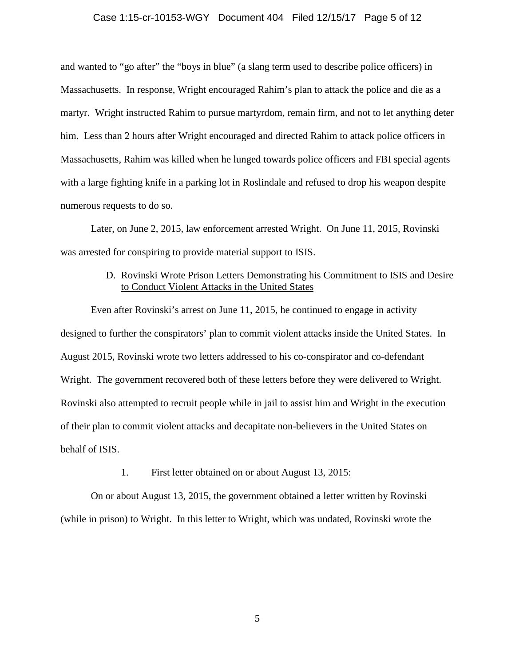### Case 1:15-cr-10153-WGY Document 404 Filed 12/15/17 Page 5 of 12

and wanted to "go after" the "boys in blue" (a slang term used to describe police officers) in Massachusetts. In response, Wright encouraged Rahim's plan to attack the police and die as a martyr. Wright instructed Rahim to pursue martyrdom, remain firm, and not to let anything deter him. Less than 2 hours after Wright encouraged and directed Rahim to attack police officers in Massachusetts, Rahim was killed when he lunged towards police officers and FBI special agents with a large fighting knife in a parking lot in Roslindale and refused to drop his weapon despite numerous requests to do so.

Later, on June 2, 2015, law enforcement arrested Wright. On June 11, 2015, Rovinski was arrested for conspiring to provide material support to ISIS.

# D. Rovinski Wrote Prison Letters Demonstrating his Commitment to ISIS and Desire to Conduct Violent Attacks in the United States

Even after Rovinski's arrest on June 11, 2015, he continued to engage in activity designed to further the conspirators' plan to commit violent attacks inside the United States. In August 2015, Rovinski wrote two letters addressed to his co-conspirator and co-defendant Wright. The government recovered both of these letters before they were delivered to Wright. Rovinski also attempted to recruit people while in jail to assist him and Wright in the execution of their plan to commit violent attacks and decapitate non-believers in the United States on behalf of ISIS.

#### 1. First letter obtained on or about August 13, 2015:

On or about August 13, 2015, the government obtained a letter written by Rovinski (while in prison) to Wright. In this letter to Wright, which was undated, Rovinski wrote the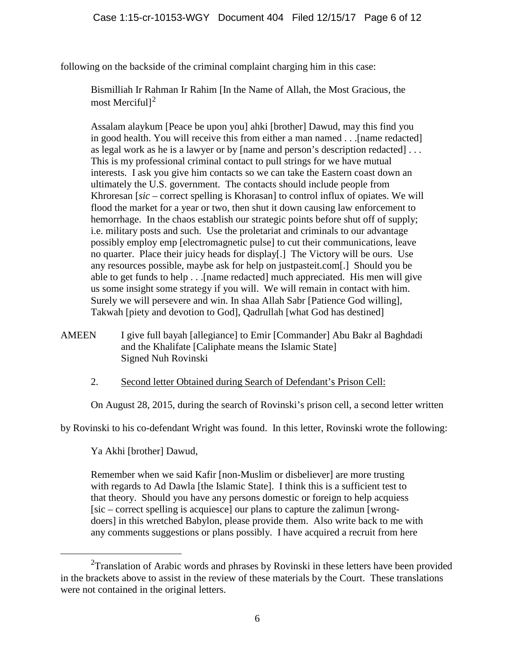following on the backside of the criminal complaint charging him in this case:

Bismilliah Ir Rahman Ir Rahim [In the Name of Allah, the Most Gracious, the most Merciful<sup>[2](#page-5-0)</sup>

Assalam alaykum [Peace be upon you] ahki [brother] Dawud, may this find you in good health. You will receive this from either a man named . . .[name redacted] as legal work as he is a lawyer or by [name and person's description redacted] . . . This is my professional criminal contact to pull strings for we have mutual interests. I ask you give him contacts so we can take the Eastern coast down an ultimately the U.S. government. The contacts should include people from Khroresan [*sic* – correct spelling is Khorasan] to control influx of opiates. We will flood the market for a year or two, then shut it down causing law enforcement to hemorrhage. In the chaos establish our strategic points before shut off of supply; i.e. military posts and such. Use the proletariat and criminals to our advantage possibly employ emp [electromagnetic pulse] to cut their communications, leave no quarter. Place their juicy heads for display[.] The Victory will be ours. Use any resources possible, maybe ask for help on justpasteit.com[.] Should you be able to get funds to help . . .[name redacted] much appreciated. His men will give us some insight some strategy if you will. We will remain in contact with him. Surely we will persevere and win. In shaa Allah Sabr [Patience God willing], Takwah [piety and devotion to God], Qadrullah [what God has destined]

- AMEEN I give full bayah [allegiance] to Emir [Commander] Abu Bakr al Baghdadi and the Khalifate [Caliphate means the Islamic State] Signed Nuh Rovinski
	- 2. Second letter Obtained during Search of Defendant's Prison Cell:

On August 28, 2015, during the search of Rovinski's prison cell, a second letter written

by Rovinski to his co-defendant Wright was found. In this letter, Rovinski wrote the following:

Ya Akhi [brother] Dawud,

Remember when we said Kafir [non-Muslim or disbeliever] are more trusting with regards to Ad Dawla [the Islamic State]. I think this is a sufficient test to that theory. Should you have any persons domestic or foreign to help acquiess [sic – correct spelling is acquiesce] our plans to capture the zalimun [wrongdoers] in this wretched Babylon, please provide them. Also write back to me with any comments suggestions or plans possibly. I have acquired a recruit from here

<span id="page-5-0"></span> <sup>2</sup> <sup>2</sup>Translation of Arabic words and phrases by Rovinski in these letters have been provided in the brackets above to assist in the review of these materials by the Court. These translations were not contained in the original letters.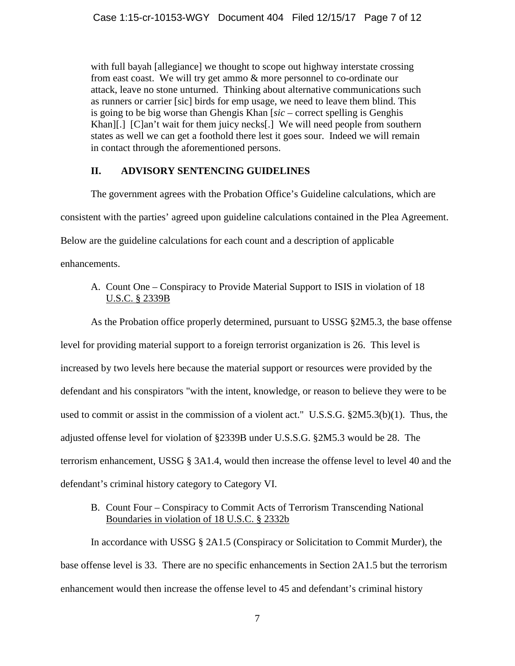with full bayah [allegiance] we thought to scope out highway interstate crossing from east coast. We will try get ammo & more personnel to co-ordinate our attack, leave no stone unturned. Thinking about alternative communications such as runners or carrier [sic] birds for emp usage, we need to leave them blind. This is going to be big worse than Ghengis Khan [*sic* – correct spelling is Genghis Khan][.] [C]an't wait for them juicy necks[.] We will need people from southern states as well we can get a foothold there lest it goes sour. Indeed we will remain in contact through the aforementioned persons.

# **II. ADVISORY SENTENCING GUIDELINES**

The government agrees with the Probation Office's Guideline calculations, which are consistent with the parties' agreed upon guideline calculations contained in the Plea Agreement. Below are the guideline calculations for each count and a description of applicable enhancements.

A. Count One – Conspiracy to Provide Material Support to ISIS in violation of 18 U.S.C. § 2339B

As the Probation office properly determined, pursuant to USSG §2M5.3, the base offense

level for providing material support to a foreign terrorist organization is 26. This level is increased by two levels here because the material support or resources were provided by the defendant and his conspirators "with the intent, knowledge, or reason to believe they were to be used to commit or assist in the commission of a violent act." U.S.S.G. §2M5.3(b)(1). Thus, the adjusted offense level for violation of §2339B under U.S.S.G. §2M5.3 would be 28. The terrorism enhancement, USSG § 3A1.4, would then increase the offense level to level 40 and the defendant's criminal history category to Category VI.

B. Count Four – Conspiracy to Commit Acts of Terrorism Transcending National Boundaries in violation of 18 U.S.C. § 2332b

In accordance with USSG § 2A1.5 (Conspiracy or Solicitation to Commit Murder), the base offense level is 33. There are no specific enhancements in Section 2A1.5 but the terrorism enhancement would then increase the offense level to 45 and defendant's criminal history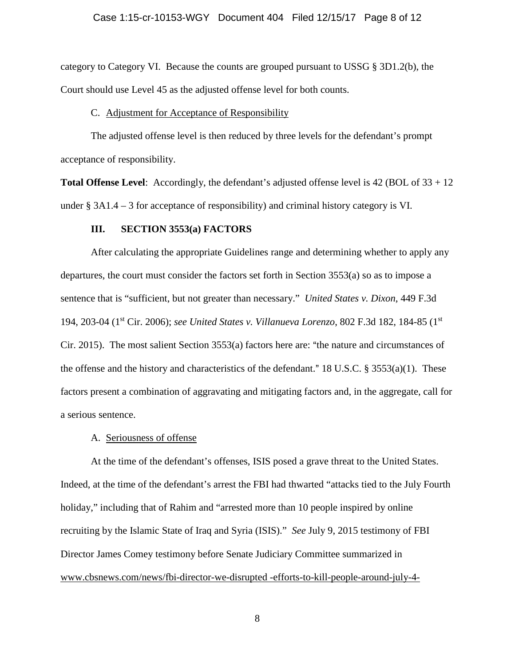### Case 1:15-cr-10153-WGY Document 404 Filed 12/15/17 Page 8 of 12

category to Category VI. Because the counts are grouped pursuant to USSG § 3D1.2(b), the Court should use Level 45 as the adjusted offense level for both counts.

#### C. Adjustment for Acceptance of Responsibility

The adjusted offense level is then reduced by three levels for the defendant's prompt acceptance of responsibility.

**Total Offense Level:** Accordingly, the defendant's adjusted offense level is 42 (BOL of 33 + 12) under § 3A1.4 – 3 for acceptance of responsibility) and criminal history category is VI.

### **III. SECTION 3553(a) FACTORS**

After calculating the appropriate Guidelines range and determining whether to apply any departures, the court must consider the factors set forth in Section 3553(a) so as to impose a sentence that is "sufficient, but not greater than necessary." *United States v. Dixon*, 449 F.3d 194, 203-04 (1st Cir. 2006); *see United States v. Villanueva Lorenzo*, 802 F.3d 182, 184-85 (1st Cir. 2015). The most salient Section  $3553(a)$  factors here are: "the nature and circumstances of the offense and the history and characteristics of the defendant." 18 U.S.C. § 3553(a)(1). These factors present a combination of aggravating and mitigating factors and, in the aggregate, call for a serious sentence.

### A. Seriousness of offense

At the time of the defendant's offenses, ISIS posed a grave threat to the United States. Indeed, at the time of the defendant's arrest the FBI had thwarted "attacks tied to the July Fourth holiday," including that of Rahim and "arrested more than 10 people inspired by online recruiting by the Islamic State of Iraq and Syria (ISIS)." *See* July 9, 2015 testimony of FBI Director James Comey testimony before Senate Judiciary Committee summarized in www.cbsnews.com/news/fbi-director-we-disrupted -efforts-to-kill-people-around-july-4-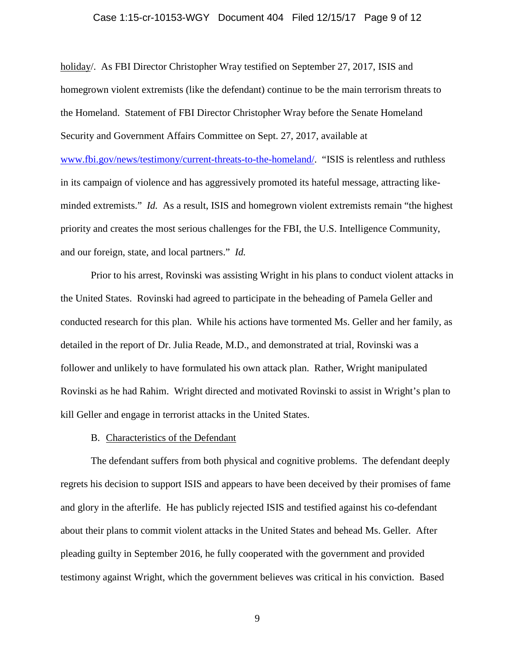### Case 1:15-cr-10153-WGY Document 404 Filed 12/15/17 Page 9 of 12

holiday/. As FBI Director Christopher Wray testified on September 27, 2017, ISIS and homegrown violent extremists (like the defendant) continue to be the main terrorism threats to the Homeland. Statement of FBI Director Christopher Wray before the Senate Homeland Security and Government Affairs Committee on Sept. 27, 2017, available at [www.fbi.gov/news/testimony/current-threats-to-the-homeland/.](http://www.fbi.gov/news/testimony/current-threats-to-the-homeland/) "ISIS is relentless and ruthless in its campaign of violence and has aggressively promoted its hateful message, attracting likeminded extremists." *Id.* As a result, ISIS and homegrown violent extremists remain "the highest priority and creates the most serious challenges for the FBI, the U.S. Intelligence Community, and our foreign, state, and local partners." *Id.*

Prior to his arrest, Rovinski was assisting Wright in his plans to conduct violent attacks in the United States. Rovinski had agreed to participate in the beheading of Pamela Geller and conducted research for this plan. While his actions have tormented Ms. Geller and her family, as detailed in the report of Dr. Julia Reade, M.D., and demonstrated at trial, Rovinski was a follower and unlikely to have formulated his own attack plan. Rather, Wright manipulated Rovinski as he had Rahim. Wright directed and motivated Rovinski to assist in Wright's plan to kill Geller and engage in terrorist attacks in the United States.

#### B. Characteristics of the Defendant

The defendant suffers from both physical and cognitive problems. The defendant deeply regrets his decision to support ISIS and appears to have been deceived by their promises of fame and glory in the afterlife. He has publicly rejected ISIS and testified against his co-defendant about their plans to commit violent attacks in the United States and behead Ms. Geller. After pleading guilty in September 2016, he fully cooperated with the government and provided testimony against Wright, which the government believes was critical in his conviction. Based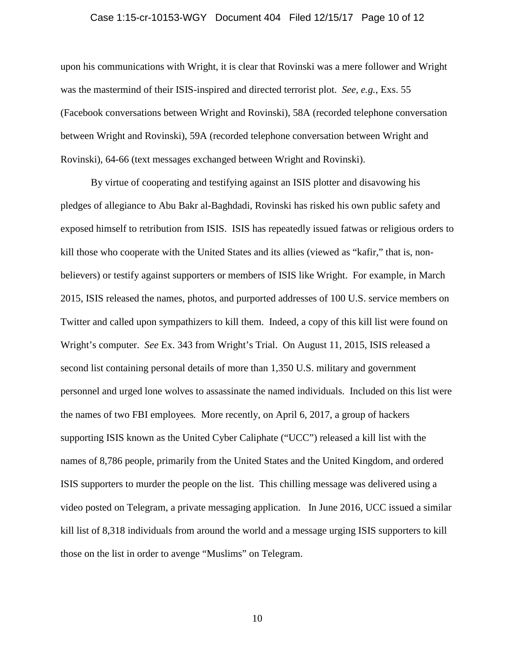#### Case 1:15-cr-10153-WGY Document 404 Filed 12/15/17 Page 10 of 12

upon his communications with Wright, it is clear that Rovinski was a mere follower and Wright was the mastermind of their ISIS-inspired and directed terrorist plot. *See, e.g.*, Exs. 55 (Facebook conversations between Wright and Rovinski), 58A (recorded telephone conversation between Wright and Rovinski), 59A (recorded telephone conversation between Wright and Rovinski), 64-66 (text messages exchanged between Wright and Rovinski).

By virtue of cooperating and testifying against an ISIS plotter and disavowing his pledges of allegiance to Abu Bakr al-Baghdadi, Rovinski has risked his own public safety and exposed himself to retribution from ISIS. ISIS has repeatedly issued fatwas or religious orders to kill those who cooperate with the United States and its allies (viewed as "kafir," that is, nonbelievers) or testify against supporters or members of ISIS like Wright. For example, in March 2015, ISIS released the names, photos, and purported addresses of 100 U.S. service members on Twitter and called upon sympathizers to kill them. Indeed, a copy of this kill list were found on Wright's computer. *See* Ex. 343 from Wright's Trial. On August 11, 2015, ISIS released a second list containing personal details of more than 1,350 U.S. military and government personnel and urged lone wolves to assassinate the named individuals. Included on this list were the names of two FBI employees*.* More recently, on April 6, 2017, a group of hackers supporting ISIS known as the United Cyber Caliphate ("UCC") released a kill list with the names of 8,786 people, primarily from the United States and the United Kingdom, and ordered ISIS supporters to murder the people on the list. This chilling message was delivered using a video posted on Telegram, a private messaging application. In June 2016, UCC issued a similar kill list of 8,318 individuals from around the world and a message urging ISIS supporters to kill those on the list in order to avenge "Muslims" on Telegram.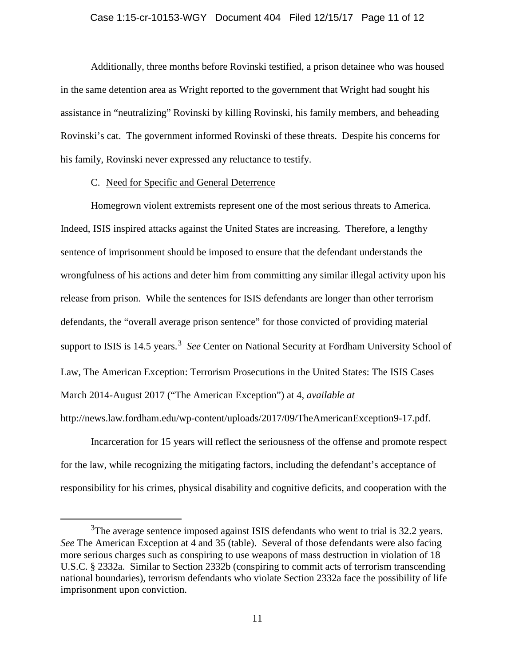#### Case 1:15-cr-10153-WGY Document 404 Filed 12/15/17 Page 11 of 12

Additionally, three months before Rovinski testified, a prison detainee who was housed in the same detention area as Wright reported to the government that Wright had sought his assistance in "neutralizing" Rovinski by killing Rovinski, his family members, and beheading Rovinski's cat. The government informed Rovinski of these threats. Despite his concerns for his family, Rovinski never expressed any reluctance to testify.

#### C. Need for Specific and General Deterrence

Homegrown violent extremists represent one of the most serious threats to America. Indeed, ISIS inspired attacks against the United States are increasing. Therefore, a lengthy sentence of imprisonment should be imposed to ensure that the defendant understands the wrongfulness of his actions and deter him from committing any similar illegal activity upon his release from prison. While the sentences for ISIS defendants are longer than other terrorism defendants, the "overall average prison sentence" for those convicted of providing material support to ISIS is 14.5 years.<sup>[3](#page-10-0)</sup> See Center on National Security at Fordham University School of Law, The American Exception: Terrorism Prosecutions in the United States: The ISIS Cases March 2014-August 2017 ("The American Exception") at 4, *available at* http://news.law.fordham.edu/wp-content/uploads/2017/09/TheAmericanException9-17.pdf.

Incarceration for 15 years will reflect the seriousness of the offense and promote respect for the law, while recognizing the mitigating factors, including the defendant's acceptance of responsibility for his crimes, physical disability and cognitive deficits, and cooperation with the

<span id="page-10-0"></span> $\overline{\phantom{a}}$  3 <sup>3</sup>The average sentence imposed against ISIS defendants who went to trial is 32.2 years. *See* The American Exception at 4 and 35 (table). Several of those defendants were also facing more serious charges such as conspiring to use weapons of mass destruction in violation of 18 U.S.C. § 2332a. Similar to Section 2332b (conspiring to commit acts of terrorism transcending national boundaries), terrorism defendants who violate Section 2332a face the possibility of life imprisonment upon conviction.